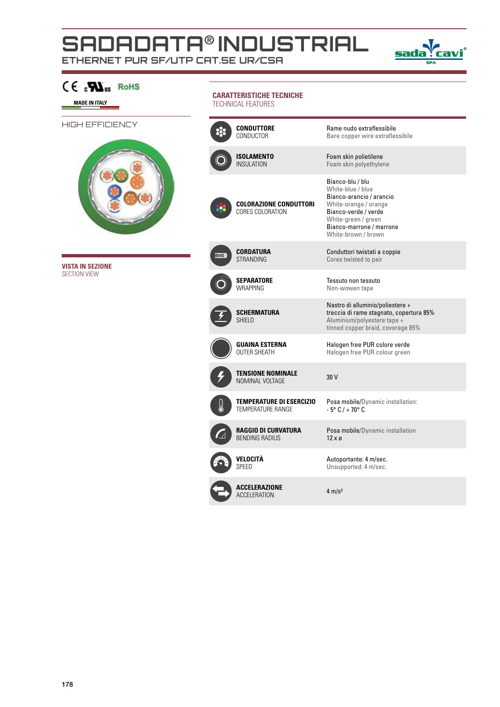## **SADADATA**® **INDUSTRIAL**

**ETHERNET PUR SF/UTP cat.5e UR/CSA**



| C€…SD2us<br><b>RoHS</b><br><b>MADE IN ITALY</b> | <b>CARATTERISTICHE TECNICHE</b><br><b>TECHNICAL FEATURES</b> |                                                             |                                                                                                                                                                                              |  |  |
|-------------------------------------------------|--------------------------------------------------------------|-------------------------------------------------------------|----------------------------------------------------------------------------------------------------------------------------------------------------------------------------------------------|--|--|
| HIGH EFFICIENCY                                 |                                                              | <b>CONDUTTORE</b><br>CONDUCTOR                              | Rame nudo extraflessibile<br>Bare copper wire extraflessibile                                                                                                                                |  |  |
|                                                 |                                                              | <b>ISOLAMENTO</b><br><b>INSULATION</b>                      | Foam skin polietilene<br>Foam skin polyethylene                                                                                                                                              |  |  |
|                                                 |                                                              | <b>COLORAZIONE CONDUTTORI</b><br>CORES COLORATION           | Bianco-blu / blu<br>White-blue / blue<br>Bianco-arancio / arancio<br>White-orange / orange<br>Bianco-verde / verde<br>White-green / green<br>Bianco-marrone / marrone<br>White-brown / brown |  |  |
| <b>VISTA IN SEZIONE</b>                         |                                                              | <b>CORDATURA</b><br><b>STRANDING</b>                        | Conduttori twistati a coppie<br>Cores twisted to pair                                                                                                                                        |  |  |
| <b>SECTION VIEW</b>                             |                                                              | <b>SEPARATORE</b><br><b>WRAPPING</b>                        | Tessuto non tessuto<br>Non-wowen tape                                                                                                                                                        |  |  |
|                                                 |                                                              | <b>SCHERMATURA</b><br><b>SHIELD</b>                         | Nastro di alluminio/poliestere +<br>treccia di rame stagnato, copertura 85%<br>Aluminium/polyestere tape +<br>tinned copper braid, coverage 85%                                              |  |  |
|                                                 |                                                              | <b>GUAINA ESTERNA</b><br><b>OUTER SHEATH</b>                | Halogen free PUR colore verde<br>Halogen free PUR colour green                                                                                                                               |  |  |
|                                                 |                                                              | <b>TENSIONE NOMINALE</b><br>NOMINAL VOLTAGE                 | 30 V                                                                                                                                                                                         |  |  |
|                                                 |                                                              | <b>TEMPERATURE DI ESERCIZIO</b><br><b>TEMPERATURE RANGE</b> | Posa mobile/Dynamic installation:<br>$-5^{\circ}$ C / + 70 $^{\circ}$ C                                                                                                                      |  |  |
|                                                 |                                                              | <b>RAGGIO DI CURVATURA</b><br><b>BENDING RADIUS</b>         | Posa mobile/Dynamic installation<br>$12 \times 9$                                                                                                                                            |  |  |
|                                                 |                                                              | VELOCITÀ<br>SPEED                                           | Autoportante: 4 m/sec.<br>Unsupported: 4 m/sec.                                                                                                                                              |  |  |
|                                                 |                                                              | <b>ACCELERAZIONE</b><br><b>ACCELERATION</b>                 | $4 \text{ m/s}^2$                                                                                                                                                                            |  |  |